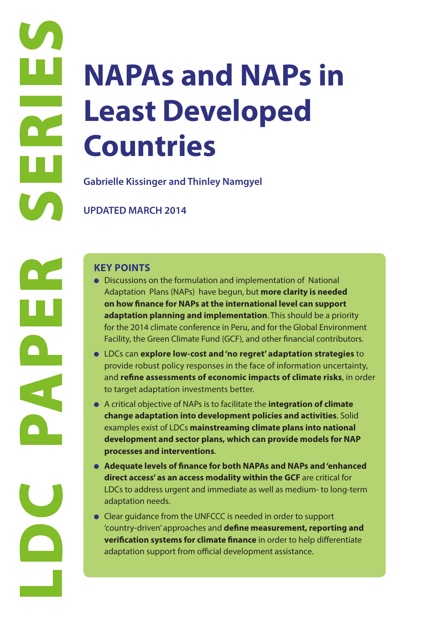# **Least**<br> **Country-diverses a**<br> **Country-diverses a**<br> **Country-diverses a**<br> **COUNTED MAR**<br> **COUNTED MAR**<br> **COUNTED MAR**<br> **COUNTED MAR**<br> **COUNTED MAR**<br> **COUNTED MAR**<br> **COUNTED MAR**<br> **COUNTED MAR**<br> **COUNTED MAR**<br> **COUNTED MAR NAPAs and NAPs in Least Developed Countries**

**Gabrielle Kissinger and Thinley Namgyel**

**UPDATED MARCH 2014**

- Discussions on the formulation and implementation of National Adaptation Plans (NAPs) have begun, but **more clarity is needed on how finance for NAPs at the international level can support adaptation planning and implementation**. This should be a priority for the 2014 climate conference in Peru, and for the Global Environment Facility, the Green Climate Fund (GCF), and other financial contributors.
- LDCs can **explore low-cost and 'no regret' adaptation strategies** to provide robust policy responses in the face of information uncertainty, and **refine assessments of economic impacts of climate risks**, in order to target adaptation investments better.
- A critical objective of NAPs is to facilitate the **integration of climate change adaptation into development policies and activities**. Solid examples exist of LDCs **mainstreaming climate plans into national development and sector plans, which can provide models for NAP processes and interventions**.
- **Adequate levels of finance for both NAPAs and NAPs and 'enhanced direct access' as an access modality within the GCF** are critical for LDCs to address urgent and immediate as well as medium- to long-term adaptation needs.
- Clear guidance from the UNFCCC is needed in order to support 'country-driven' approaches and **define measurement, reporting and verification systems for climate finance** in order to help differentiate adaptation support from official development assistance.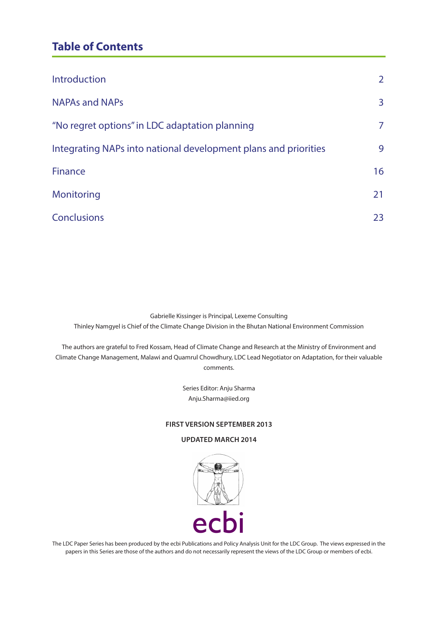# **Table of Contents**

| Introduction                                                    | $\overline{2}$ |
|-----------------------------------------------------------------|----------------|
| <b>NAPAs and NAPs</b>                                           | 3              |
| "No regret options" in LDC adaptation planning                  | $\overline{7}$ |
| Integrating NAPs into national development plans and priorities | 9              |
| <b>Finance</b>                                                  | 16             |
| Monitoring                                                      | 21             |
| <b>Conclusions</b>                                              | 23             |

Gabrielle Kissinger is Principal, Lexeme Consulting Thinley Namgyel is Chief of the Climate Change Division in the Bhutan National Environment Commission

The authors are grateful to Fred Kossam, Head of Climate Change and Research at the Ministry of Environment and Climate Change Management, Malawi and Quamrul Chowdhury, LDC Lead Negotiator on Adaptation, for their valuable comments.

> Series Editor: Anju Sharma Anju.Sharma@iied.org

#### **FIRST VERSION SEPTEMBER 2013**

#### **UPDATED MARCH 2014**



The LDC Paper Series has been produced by the ecbi Publications and Policy Analysis Unit for the LDC Group. The views expressed in the papers in this Series are those of the authors and do not necessarily represent the views of the LDC Group or members of ecbi.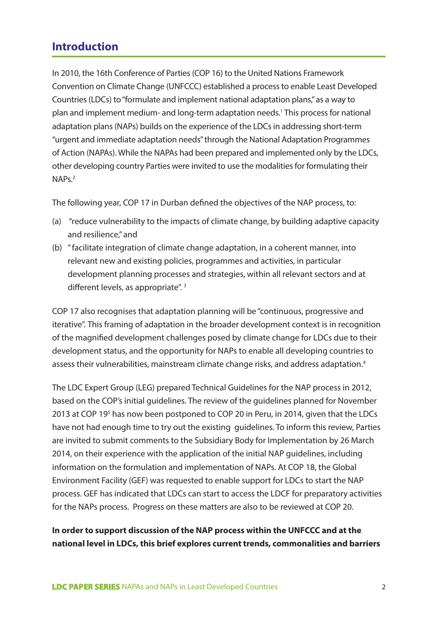# **Introduction**

In 2010, the 16th Conference of Parties (COP 16) to the United Nations Framework Convention on Climate Change (UNFCCC) established a process to enable Least Developed Countries (LDCs) to "formulate and implement national adaptation plans," as a way to plan and implement medium- and long-term adaptation needs.<sup>1</sup> This process for national adaptation plans (NAPs) builds on the experience of the LDCs in addressing short-term "urgent and immediate adaptation needs" through the National Adaptation Programmes of Action (NAPAs). While the NAPAs had been prepared and implemented only by the LDCs, other developing country Parties were invited to use the modalities for formulating their NAP<sub>s.<sup>2</sup></sub>

The following year, COP 17 in Durban defined the objectives of the NAP process, to:

- (a) "reduce vulnerability to the impacts of climate change, by building adaptive capacity and resilience," and
- (b) " facilitate integration of climate change adaptation, in a coherent manner, into relevant new and existing policies, programmes and activities, in particular development planning processes and strategies, within all relevant sectors and at different levels, as appropriate".<sup>3</sup>

COP 17 also recognises that adaptation planning will be "continuous, progressive and iterative". This framing of adaptation in the broader development context is in recognition of the magnified development challenges posed by climate change for LDCs due to their development status, and the opportunity for NAPs to enable all developing countries to assess their vulnerabilities, mainstream climate change risks, and address adaptation.<sup>4</sup>

The LDC Expert Group (LEG) prepared Technical Guidelines for the NAP process in 2012, based on the COP's initial guidelines. The review of the guidelines planned for November 2013 at COP 19<sup>5</sup> has now been postponed to COP 20 in Peru, in 2014, given that the LDCs have not had enough time to try out the existing guidelines. To inform this review, Parties are invited to submit comments to the Subsidiary Body for Implementation by 26 March 2014, on their experience with the application of the initial NAP guidelines, including information on the formulation and implementation of NAPs. At COP 18, the Global Environment Facility (GEF) was requested to enable support for LDCs to start the NAP process. GEF has indicated that LDCs can start to access the LDCF for preparatory activities for the NAPs process. Progress on these matters are also to be reviewed at COP 20.

## **In order to support discussion of the NAP process within the UNFCCC and at the national level in LDCs, this brief explores current trends, commonalities and barriers**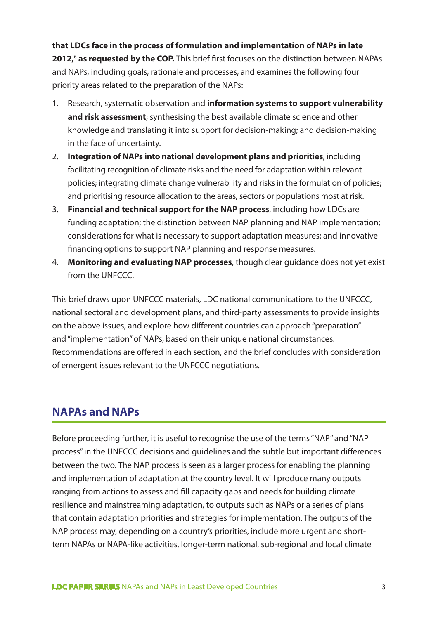**that LDCs face in the process of formulation and implementation of NAPs in late 2012,**<sup>6</sup>  **as requested by the COP.** This brief first focuses on the distinction between NAPAs and NAPs, including goals, rationale and processes, and examines the following four priority areas related to the preparation of the NAPs:

- 1. Research, systematic observation and **information systems to support vulnerability and risk assessment**; synthesising the best available climate science and other knowledge and translating it into support for decision-making; and decision-making in the face of uncertainty.
- 2. **Integration of NAPs into national development plans and priorities**, including facilitating recognition of climate risks and the need for adaptation within relevant policies; integrating climate change vulnerability and risks in the formulation of policies; and prioritising resource allocation to the areas, sectors or populations most at risk.
- 3. **Financial and technical support for the NAP process**, including how LDCs are funding adaptation; the distinction between NAP planning and NAP implementation; considerations for what is necessary to support adaptation measures; and innovative financing options to support NAP planning and response measures.
- 4. **Monitoring and evaluating NAP processes**, though clear guidance does not yet exist from the UNFCCC.

This brief draws upon UNFCCC materials, LDC national communications to the UNFCCC, national sectoral and development plans, and third-party assessments to provide insights on the above issues, and explore how different countries can approach "preparation" and "implementation" of NAPs, based on their unique national circumstances. Recommendations are offered in each section, and the brief concludes with consideration of emergent issues relevant to the UNFCCC negotiations.

## **NAPAs and NAPs**

Before proceeding further, it is useful to recognise the use of the terms "NAP" and "NAP process" in the UNFCCC decisions and guidelines and the subtle but important differences between the two. The NAP process is seen as a larger process for enabling the planning and implementation of adaptation at the country level. It will produce many outputs ranging from actions to assess and fill capacity gaps and needs for building climate resilience and mainstreaming adaptation, to outputs such as NAPs or a series of plans that contain adaptation priorities and strategies for implementation. The outputs of the NAP process may, depending on a country's priorities, include more urgent and shortterm NAPAs or NAPA-like activities, longer-term national, sub-regional and local climate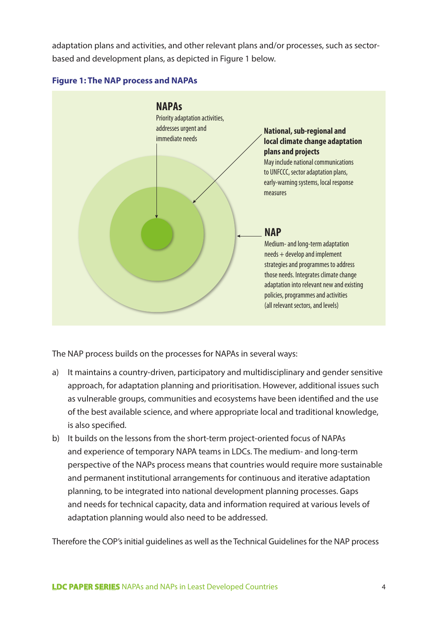adaptation plans and activities, and other relevant plans and/or processes, such as sectorbased and development plans, as depicted in Figure 1 below.



#### **Figure 1: The NAP process and NAPAs**

The NAP process builds on the processes for NAPAs in several ways:

- a) It maintains a country-driven, participatory and multidisciplinary and gender sensitive approach, for adaptation planning and prioritisation. However, additional issues such as vulnerable groups, communities and ecosystems have been identified and the use of the best available science, and where appropriate local and traditional knowledge, is also specified.
- b) It builds on the lessons from the short-term project-oriented focus of NAPAs and experience of temporary NAPA teams in LDCs. The medium- and long-term perspective of the NAPs process means that countries would require more sustainable and permanent institutional arrangements for continuous and iterative adaptation planning, to be integrated into national development planning processes. Gaps and needs for technical capacity, data and information required at various levels of adaptation planning would also need to be addressed.

Therefore the COP's initial guidelines as well as the Technical Guidelines for the NAP process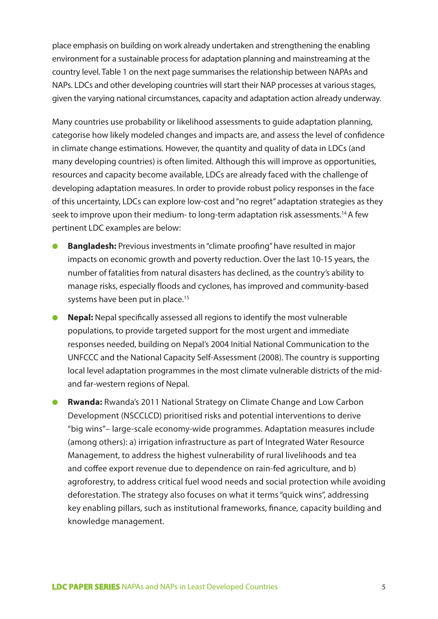place emphasis on building on work already undertaken and strengthening the enabling environment for a sustainable process for adaptation planning and mainstreaming at the country level. Table 1 on the next page summarises the relationship between NAPAs and NAPs. LDCs and other developing countries will start their NAP processes at various stages, given the varying national circumstances, capacity and adaptation action already underway.

Many countries use probability or likelihood assessments to guide adaptation planning, categorise how likely modeled changes and impacts are, and assess the level of confidence in climate change estimations. However, the quantity and quality of data in LDCs (and many developing countries) is often limited. Although this will improve as opportunities, resources and capacity become available, LDCs are already faced with the challenge of developing adaptation measures. In order to provide robust policy responses in the face of this uncertainty, LDCs can explore low-cost and "no regret" adaptation strategies as they seek to improve upon their medium- to long-term adaptation risk assessments.<sup>14</sup> A few pertinent LDC examples are below:

- **Bangladesh:** Previous investments in "climate proofing" have resulted in major impacts on economic growth and poverty reduction. Over the last 10-15 years, the number of fatalities from natural disasters has declined, as the country's ability to manage risks, especially floods and cyclones, has improved and community-based systems have been put in place.<sup>15</sup>
- **Nepal:** Nepal specifically assessed all regions to identify the most vulnerable populations, to provide targeted support for the most urgent and immediate responses needed, building on Nepal's 2004 Initial National Communication to the UNFCCC and the National Capacity Self-Assessment (2008). The country is supporting local level adaptation programmes in the most climate vulnerable districts of the midand far-western regions of Nepal.
- **Rwanda:** Rwanda's 2011 National Strategy on Climate Change and Low Carbon Development (NSCCLCD) prioritised risks and potential interventions to derive "big wins"– large-scale economy-wide programmes. Adaptation measures include (among others): a) irrigation infrastructure as part of Integrated Water Resource Management, to address the highest vulnerability of rural livelihoods and tea and coffee export revenue due to dependence on rain-fed agriculture, and b) agroforestry, to address critical fuel wood needs and social protection while avoiding deforestation. The strategy also focuses on what it terms "quick wins", addressing key enabling pillars, such as institutional frameworks, finance, capacity building and knowledge management.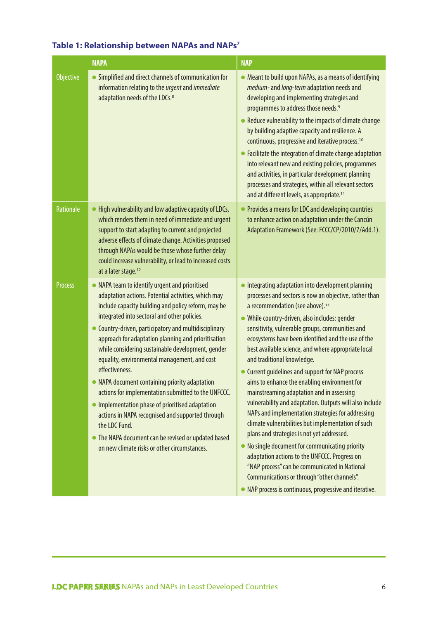|                  | <b>NAPA</b>                                                                                                                                                                                                                                                                                                                                                                                                                                                                                                                                                                                                                                                                                                                                                                                | <b>NAP</b>                                                                                                                                                                                                                                                                                                                                                                                                                                                                                                                                                                                                                                                                                                                                                                                                                                                                                                                                                                                                                                              |
|------------------|--------------------------------------------------------------------------------------------------------------------------------------------------------------------------------------------------------------------------------------------------------------------------------------------------------------------------------------------------------------------------------------------------------------------------------------------------------------------------------------------------------------------------------------------------------------------------------------------------------------------------------------------------------------------------------------------------------------------------------------------------------------------------------------------|---------------------------------------------------------------------------------------------------------------------------------------------------------------------------------------------------------------------------------------------------------------------------------------------------------------------------------------------------------------------------------------------------------------------------------------------------------------------------------------------------------------------------------------------------------------------------------------------------------------------------------------------------------------------------------------------------------------------------------------------------------------------------------------------------------------------------------------------------------------------------------------------------------------------------------------------------------------------------------------------------------------------------------------------------------|
| <b>Objective</b> | Simplified and direct channels of communication for<br>information relating to the urgent and immediate<br>adaptation needs of the LDCs. <sup>8</sup>                                                                                                                                                                                                                                                                                                                                                                                                                                                                                                                                                                                                                                      | • Meant to build upon NAPAs, as a means of identifying<br>medium- and long-term adaptation needs and<br>developing and implementing strategies and<br>programmes to address those needs. <sup>9</sup><br>• Reduce vulnerability to the impacts of climate change<br>by building adaptive capacity and resilience. A<br>continuous, progressive and iterative process. <sup>10</sup><br>• Facilitate the integration of climate change adaptation<br>into relevant new and existing policies, programmes<br>and activities, in particular development planning                                                                                                                                                                                                                                                                                                                                                                                                                                                                                           |
|                  |                                                                                                                                                                                                                                                                                                                                                                                                                                                                                                                                                                                                                                                                                                                                                                                            | processes and strategies, within all relevant sectors<br>and at different levels, as appropriate. <sup>11</sup>                                                                                                                                                                                                                                                                                                                                                                                                                                                                                                                                                                                                                                                                                                                                                                                                                                                                                                                                         |
| <b>Rationale</b> | High vulnerability and low adaptive capacity of LDCs,<br>which renders them in need of immediate and urgent<br>support to start adapting to current and projected<br>adverse effects of climate change. Activities proposed<br>through NAPAs would be those whose further delay<br>could increase vulnerability, or lead to increased costs<br>at a later stage. <sup>12</sup>                                                                                                                                                                                                                                                                                                                                                                                                             | Provides a means for LDC and developing countries<br>to enhance action on adaptation under the Cancún<br>Adaptation Framework (See: FCCC/CP/2010/7/Add.1).                                                                                                                                                                                                                                                                                                                                                                                                                                                                                                                                                                                                                                                                                                                                                                                                                                                                                              |
| <b>Process</b>   | • NAPA team to identify urgent and prioritised<br>adaptation actions. Potential activities, which may<br>include capacity building and policy reform, may be<br>integrated into sectoral and other policies.<br>Country-driven, participatory and multidisciplinary<br>approach for adaptation planning and prioritisation<br>while considering sustainable development, gender<br>equality, environmental management, and cost<br>effectiveness.<br>• NAPA document containing priority adaptation<br>actions for implementation submitted to the UNFCCC.<br>• Implementation phase of prioritised adaptation<br>actions in NAPA recognised and supported through<br>the LDC Fund.<br>• The NAPA document can be revised or updated based<br>on new climate risks or other circumstances. | • Integrating adaptation into development planning<br>processes and sectors is now an objective, rather than<br>a recommendation (see above). <sup>13</sup><br>• While country-driven, also includes: gender<br>sensitivity, vulnerable groups, communities and<br>ecosystems have been identified and the use of the<br>best available science, and where appropriate local<br>and traditional knowledge.<br>• Current guidelines and support for NAP process<br>aims to enhance the enabling environment for<br>mainstreaming adaptation and in assessing<br>vulnerability and adaptation. Outputs will also include<br>NAPs and implementation strategies for addressing<br>climate vulnerabilities but implementation of such<br>plans and strategies is not yet addressed.<br>No single document for communicating priority<br>$\bullet$<br>adaptation actions to the UNFCCC. Progress on<br>"NAP process" can be communicated in National<br>Communications or through "other channels".<br>NAP process is continuous, progressive and iterative. |

## **Table 1: Relationship between NAPAs and NAPs7**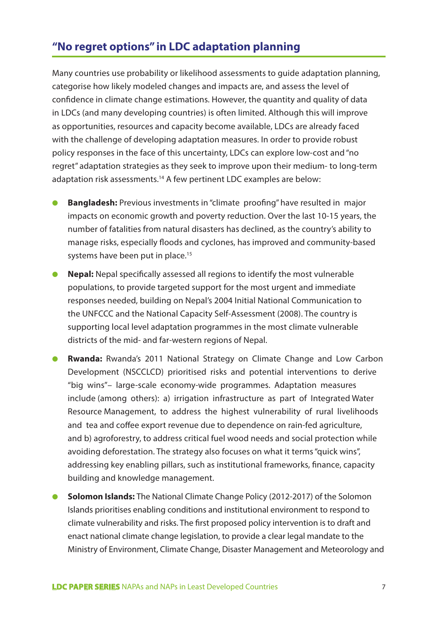# **"No regret options" in LDC adaptation planning**

Many countries use probability or likelihood assessments to guide adaptation planning, categorise how likely modeled changes and impacts are, and assess the level of confidence in climate change estimations. However, the quantity and quality of data in LDCs (and many developing countries) is often limited. Although this will improve as opportunities, resources and capacity become available, LDCs are already faced with the challenge of developing adaptation measures. In order to provide robust policy responses in the face of this uncertainty, LDCs can explore low-cost and "no regret" adaptation strategies as they seek to improve upon their medium- to long-term adaptation risk assessments.<sup>14</sup> A few pertinent LDC examples are below:

- **Bangladesh:** Previous investments in "climate proofing" have resulted in major impacts on economic growth and poverty reduction. Over the last 10-15 years, the number of fatalities from natural disasters has declined, as the country's ability to manage risks, especially floods and cyclones, has improved and community-based systems have been put in place.<sup>15</sup>
- **Nepal:** Nepal specifically assessed all regions to identify the most vulnerable populations, to provide targeted support for the most urgent and immediate responses needed, building on Nepal's 2004 Initial National Communication to the UNFCCC and the National Capacity Self-Assessment (2008). The country is supporting local level adaptation programmes in the most climate vulnerable districts of the mid- and far-western regions of Nepal.
- **Rwanda:** Rwanda's 2011 National Strategy on Climate Change and Low Carbon Development (NSCCLCD) prioritised risks and potential interventions to derive "big wins"– large-scale economy-wide programmes. Adaptation measures include (among others): a) irrigation infrastructure as part of Integrated Water Resource Management, to address the highest vulnerability of rural livelihoods and tea and coffee export revenue due to dependence on rain-fed agriculture, and b) agroforestry, to address critical fuel wood needs and social protection while avoiding deforestation. The strategy also focuses on what it terms "quick wins", addressing key enabling pillars, such as institutional frameworks, finance, capacity building and knowledge management.
- **Solomon Islands:** The National Climate Change Policy (2012-2017) of the Solomon Islands prioritises enabling conditions and institutional environment to respond to climate vulnerability and risks. The first proposed policy intervention is to draft and enact national climate change legislation, to provide a clear legal mandate to the Ministry of Environment, Climate Change, Disaster Management and Meteorology and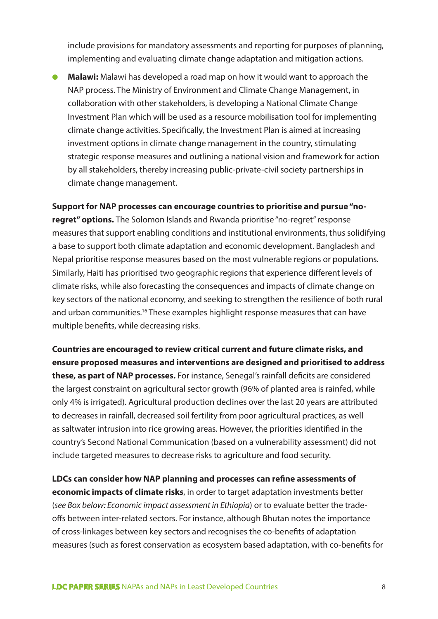include provisions for mandatory assessments and reporting for purposes of planning, implementing and evaluating climate change adaptation and mitigation actions.

● **Malawi:** Malawi has developed a road map on how it would want to approach the NAP process. The Ministry of Environment and Climate Change Management, in collaboration with other stakeholders, is developing a National Climate Change Investment Plan which will be used as a resource mobilisation tool for implementing climate change activities. Specifically, the Investment Plan is aimed at increasing investment options in climate change management in the country, stimulating strategic response measures and outlining a national vision and framework for action by all stakeholders, thereby increasing public-private-civil society partnerships in climate change management.

**Support for NAP processes can encourage countries to prioritise and pursue "noregret" options.** The Solomon Islands and Rwanda prioritise "no-regret" response measures that support enabling conditions and institutional environments, thus solidifying a base to support both climate adaptation and economic development. Bangladesh and Nepal prioritise response measures based on the most vulnerable regions or populations. Similarly, Haiti has prioritised two geographic regions that experience different levels of climate risks, while also forecasting the consequences and impacts of climate change on key sectors of the national economy, and seeking to strengthen the resilience of both rural and urban communities.<sup>16</sup> These examples highlight response measures that can have multiple benefits, while decreasing risks.

**Countries are encouraged to review critical current and future climate risks, and ensure proposed measures and interventions are designed and prioritised to address these, as part of NAP processes.** For instance, Senegal's rainfall deficits are considered the largest constraint on agricultural sector growth (96% of planted area is rainfed, while only 4% is irrigated). Agricultural production declines over the last 20 years are attributed to decreases in rainfall, decreased soil fertility from poor agricultural practices, as well as saltwater intrusion into rice growing areas. However, the priorities identified in the country's Second National Communication (based on a vulnerability assessment) did not include targeted measures to decrease risks to agriculture and food security.

**LDCs can consider how NAP planning and processes can refine assessments of economic impacts of climate risks**, in order to target adaptation investments better (*see Box below: Economic impact assessment in Ethiopia*) or to evaluate better the tradeoffs between inter-related sectors. For instance, although Bhutan notes the importance of cross-linkages between key sectors and recognises the co-benefits of adaptation measures (such as forest conservation as ecosystem based adaptation, with co-benefits for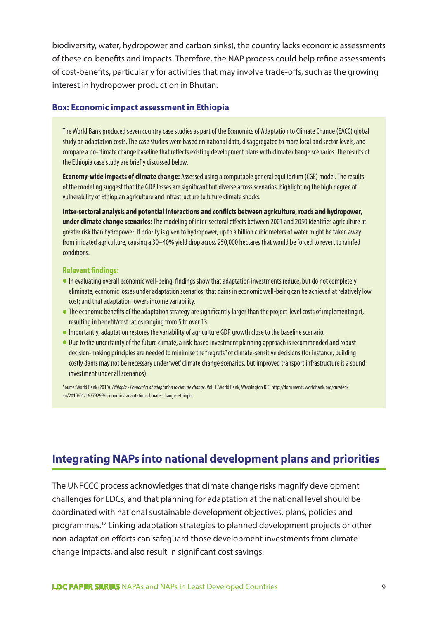biodiversity, water, hydropower and carbon sinks), the country lacks economic assessments of these co-benefits and impacts. Therefore, the NAP process could help refine assessments of cost-benefits, particularly for activities that may involve trade-offs, such as the growing interest in hydropower production in Bhutan.

#### **Box: Economic impact assessment in Ethiopia**

The World Bank produced seven country case studies as part of the Economics of Adaptation to Climate Change (EACC) global study on adaptation costs. The case studies were based on national data, disaggregated to more local and sector levels, and compare a no-climate change baseline that reflects existing development plans with climate change scenarios. The results of the Ethiopia case study are briefly discussed below.

**Economy-wide impacts of climate change:** Assessed using a computable general equilibrium (CGE) model. The results of the modeling suggest that the GDP losses are significant but diverse across scenarios, highlighting the high degree of vulnerability of Ethiopian agriculture and infrastructure to future climate shocks.

**Inter-sectoral analysis and potential interactions and conflicts between agriculture, roads and hydropower, under climate change scenarios:** The modeling of inter-sectoral effects between 2001 and 2050 identifies agriculture at greater risk than hydropower. If priority is given to hydropower, up to a billion cubic meters of water might be taken away from irrigated agriculture, causing a 30–40% yield drop across 250,000 hectares that would be forced to revert to rainfed conditions.

#### **Relevant findings:**

- In evaluating overall economic well-being, findings show that adaptation investments reduce, but do not completely eliminate, economic losses under adaptation scenarios; that gains in economic well-being can be achieved at relatively low cost; and that adaptation lowers income variability.
- The economic benefits of the adaptation strategy are significantly larger than the project-level costs of implementing it, resulting in benefit/cost ratios ranging from 5 to over 13.
- Importantly, adaptation restores the variability of agriculture GDP growth close to the baseline scenario.
- Due to the uncertainty of the future climate, a risk-based investment planning approach is recommended and robust decision-making principles are needed to minimise the "regrets" of climate-sensitive decisions (for instance, building costly dams may not be necessary under 'wet' climate change scenarios, but improved transport infrastructure is a sound investment under all scenarios).

Source: World Bank (2010). *Ethiopia - Economics of adaptation to climate change*. Vol. 1. World Bank, Washington D.C. http://documents.worldbank.org/curated/ en/2010/01/16279299/economics-adaptation-climate-change-ethiopia

# **Integrating NAPs into national development plans and priorities**

The UNFCCC process acknowledges that climate change risks magnify development challenges for LDCs, and that planning for adaptation at the national level should be coordinated with national sustainable development objectives, plans, policies and programmes.17 Linking adaptation strategies to planned development projects or other non-adaptation efforts can safeguard those development investments from climate change impacts, and also result in significant cost savings.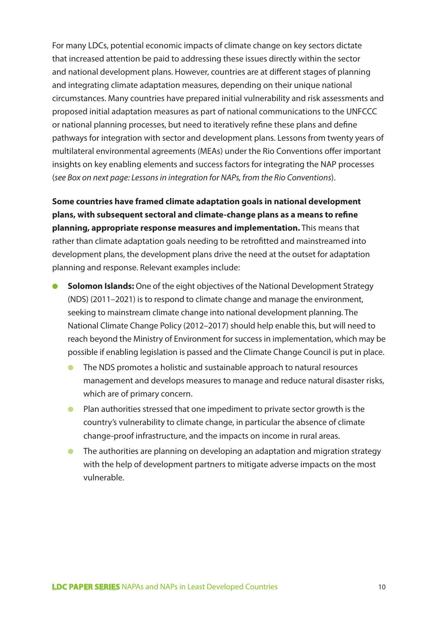For many LDCs, potential economic impacts of climate change on key sectors dictate that increased attention be paid to addressing these issues directly within the sector and national development plans. However, countries are at different stages of planning and integrating climate adaptation measures, depending on their unique national circumstances. Many countries have prepared initial vulnerability and risk assessments and proposed initial adaptation measures as part of national communications to the UNFCCC or national planning processes, but need to iteratively refine these plans and define pathways for integration with sector and development plans. Lessons from twenty years of multilateral environmental agreements (MEAs) under the Rio Conventions offer important insights on key enabling elements and success factors for integrating the NAP processes (*see Box on next page: Lessons in integration for NAPs, from the Rio Conventions*).

**Some countries have framed climate adaptation goals in national development plans, with subsequent sectoral and climate-change plans as a means to refine planning, appropriate response measures and implementation.** This means that rather than climate adaptation goals needing to be retrofitted and mainstreamed into development plans, the development plans drive the need at the outset for adaptation planning and response. Relevant examples include:

- **Solomon Islands:** One of the eight objectives of the National Development Strategy (NDS) (2011–2021) is to respond to climate change and manage the environment, seeking to mainstream climate change into national development planning. The National Climate Change Policy (2012–2017) should help enable this, but will need to reach beyond the Ministry of Environment for success in implementation, which may be possible if enabling legislation is passed and the Climate Change Council is put in place.
	- The NDS promotes a holistic and sustainable approach to natural resources management and develops measures to manage and reduce natural disaster risks, which are of primary concern.
	- Plan authorities stressed that one impediment to private sector growth is the country's vulnerability to climate change, in particular the absence of climate change-proof infrastructure, and the impacts on income in rural areas.
	- The authorities are planning on developing an adaptation and migration strategy with the help of development partners to mitigate adverse impacts on the most vulnerable.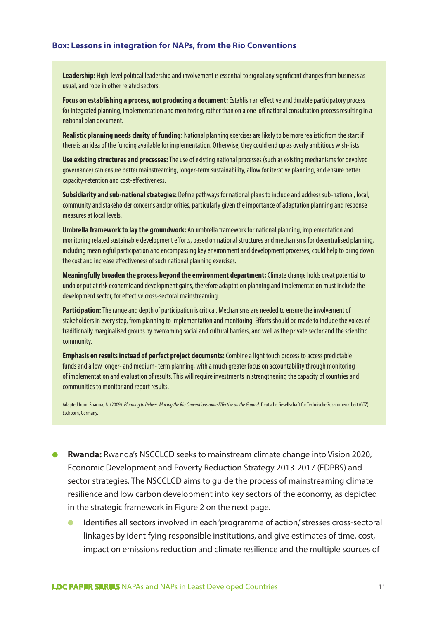#### **Box: Lessons in integration for NAPs, from the Rio Conventions**

**Leadership:** High-level political leadership and involvement is essential to signal any significant changes from business as usual, and rope in other related sectors.

**Focus on establishing a process, not producing a document:** Establish an effective and durable participatory process for integrated planning, implementation and monitoring, rather than on a one-off national consultation process resulting in a national plan document.

**Realistic planning needs clarity of funding:** National planning exercises are likely to be more realistic from the start if there is an idea of the funding available for implementation. Otherwise, they could end up as overly ambitious wish-lists.

**Use existing structures and processes:** The use of existing national processes (such as existing mechanisms for devolved governance) can ensure better mainstreaming, longer-term sustainability, allow for iterative planning, and ensure better capacity-retention and cost-effectiveness.

**Subsidiarity and sub-national strategies:** Define pathways for national plans to include and address sub-national, local, community and stakeholder concerns and priorities, particularly given the importance of adaptation planning and response measures at local levels.

**Umbrella framework to lay the groundwork:** An umbrella framework for national planning, implementation and monitoring related sustainable development efforts, based on national structures and mechanisms for decentralised planning, including meaningful participation and encompassing key environment and development processes, could help to bring down the cost and increase effectiveness of such national planning exercises.

**Meaningfully broaden the process beyond the environment department:** Climate change holds great potential to undo or put at risk economic and development gains, therefore adaptation planning and implementation must include the development sector, for effective cross-sectoral mainstreaming.

**Participation:** The range and depth of participation is critical. Mechanisms are needed to ensure the involvement of stakeholders in every step, from planning to implementation and monitoring. Efforts should be made to include the voices of traditionally marginalised groups by overcoming social and cultural barriers, and well as the private sector and the scientific community.

**Emphasis on results instead of perfect project documents:** Combine a light touch process to access predictable funds and allow longer- and medium- term planning, with a much greater focus on accountability through monitoring of implementation and evaluation of results. This will require investments in strengthening the capacity of countries and communities to monitor and report results.

Adapted from: Sharma, A. (2009). *Planning to Deliver: Making the Rio Conventions more Effective on the Ground*. Deutsche Gesellschaft für Technische Zusammenarbeit (GTZ). Eschborn, Germany.

- **Rwanda:** Rwanda's NSCCLCD seeks to mainstream climate change into Vision 2020, Economic Development and Poverty Reduction Strategy 2013-2017 (EDPRS) and sector strategies. The NSCCLCD aims to guide the process of mainstreaming climate resilience and low carbon development into key sectors of the economy, as depicted in the strategic framework in Figure 2 on the next page.
	- Identifies all sectors involved in each 'programme of action,' stresses cross-sectoral linkages by identifying responsible institutions, and give estimates of time, cost, impact on emissions reduction and climate resilience and the multiple sources of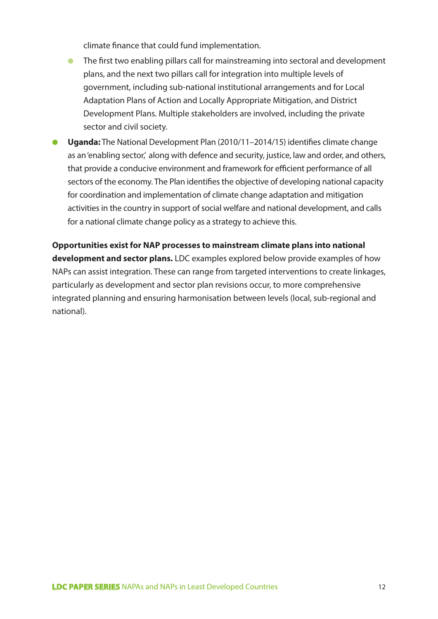climate finance that could fund implementation.

- The first two enabling pillars call for mainstreaming into sectoral and development plans, and the next two pillars call for integration into multiple levels of government, including sub-national institutional arrangements and for Local Adaptation Plans of Action and Locally Appropriate Mitigation, and District Development Plans. Multiple stakeholders are involved, including the private sector and civil society.
- **Uganda:** The National Development Plan (2010/11–2014/15) identifies climate change as an 'enabling sector', along with defence and security, justice, law and order, and others, that provide a conducive environment and framework for efficient performance of all sectors of the economy. The Plan identifies the objective of developing national capacity for coordination and implementation of climate change adaptation and mitigation activities in the country in support of social welfare and national development, and calls for a national climate change policy as a strategy to achieve this.

**Opportunities exist for NAP processes to mainstream climate plans into national development and sector plans.** LDC examples explored below provide examples of how NAPs can assist integration. These can range from targeted interventions to create linkages, particularly as development and sector plan revisions occur, to more comprehensive integrated planning and ensuring harmonisation between levels (local, sub-regional and national).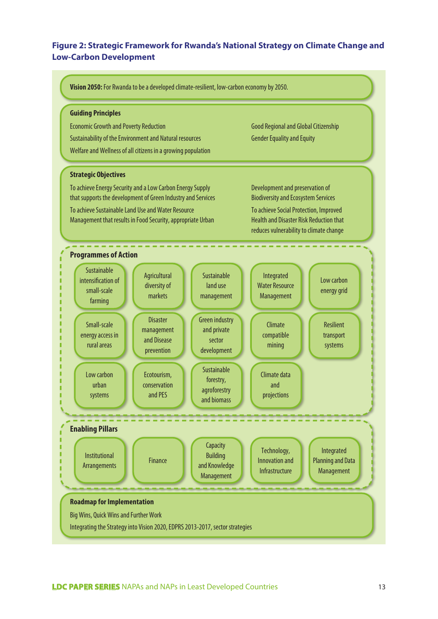## **Figure 2: Strategic Framework for Rwanda's National Strategy on Climate Change and Low-Carbon Development**

**Vision 2050:** For Rwanda to be a developed climate-resilient, low-carbon economy by 2050.

#### **Guiding Principles**

Economic Growth and Poverty Reduction Sustainability of the Environment and Natural resources Welfare and Wellness of all citizens in a growing population

#### **Strategic Objectives**

To achieve Energy Security and a Low Carbon Energy Supply that supports the development of Green Industry and Services To achieve Sustainable Land Use and Water Resource Management that results in Food Security, appropriate Urban

Good Regional and Global Citizenship Gender Equality and Equity

Development and preservation of Biodiversity and Ecosystem Services To achieve Social Protection, Improved Health and Disaster Risk Reduction that

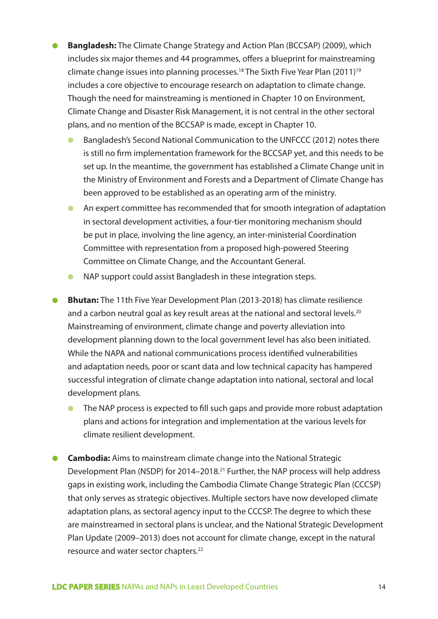- **Bangladesh:** The Climate Change Strategy and Action Plan (BCCSAP) (2009), which includes six major themes and 44 programmes, offers a blueprint for mainstreaming climate change issues into planning processes.18 The Sixth Five Year Plan (2011)19 includes a core objective to encourage research on adaptation to climate change. Though the need for mainstreaming is mentioned in Chapter 10 on Environment, Climate Change and Disaster Risk Management, it is not central in the other sectoral plans, and no mention of the BCCSAP is made, except in Chapter 10.
	- Bangladesh's Second National Communication to the UNFCCC (2012) notes there is still no firm implementation framework for the BCCSAP yet, and this needs to be set up. In the meantime, the government has established a Climate Change unit in the Ministry of Environment and Forests and a Department of Climate Change has been approved to be established as an operating arm of the ministry.
	- An expert committee has recommended that for smooth integration of adaptation in sectoral development activities, a four-tier monitoring mechanism should be put in place, involving the line agency, an inter-ministerial Coordination Committee with representation from a proposed high-powered Steering Committee on Climate Change, and the Accountant General.
	- NAP support could assist Bangladesh in these integration steps.
- **Bhutan:** The 11th Five Year Development Plan (2013-2018) has climate resilience and a carbon neutral goal as key result areas at the national and sectoral levels.<sup>20</sup> Mainstreaming of environment, climate change and poverty alleviation into development planning down to the local government level has also been initiated. While the NAPA and national communications process identified vulnerabilities and adaptation needs, poor or scant data and low technical capacity has hampered successful integration of climate change adaptation into national, sectoral and local development plans.
	- The NAP process is expected to fill such gaps and provide more robust adaptation plans and actions for integration and implementation at the various levels for climate resilient development.
- **Cambodia:** Aims to mainstream climate change into the National Strategic Development Plan (NSDP) for 2014–2018.<sup>21</sup> Further, the NAP process will help address gaps in existing work, including the Cambodia Climate Change Strategic Plan (CCCSP) that only serves as strategic objectives. Multiple sectors have now developed climate adaptation plans, as sectoral agency input to the CCCSP. The degree to which these are mainstreamed in sectoral plans is unclear, and the National Strategic Development Plan Update (2009–2013) does not account for climate change, except in the natural resource and water sector chapters.22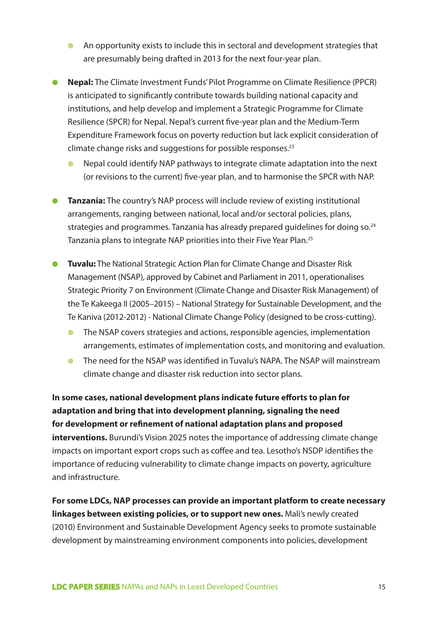- An opportunity exists to include this in sectoral and development strategies that are presumably being drafted in 2013 for the next four-year plan.
- **Nepal:** The Climate Investment Funds' Pilot Programme on Climate Resilience (PPCR) is anticipated to significantly contribute towards building national capacity and institutions, and help develop and implement a Strategic Programme for Climate Resilience (SPCR) for Nepal. Nepal's current five-year plan and the Medium-Term Expenditure Framework focus on poverty reduction but lack explicit consideration of climate change risks and suggestions for possible responses.<sup>23</sup>
	- Nepal could identify NAP pathways to integrate climate adaptation into the next (or revisions to the current) five-year plan, and to harmonise the SPCR with NAP.
- **Tanzania:** The country's NAP process will include review of existing institutional arrangements, ranging between national, local and/or sectoral policies, plans, strategies and programmes. Tanzania has already prepared guidelines for doing so.24 Tanzania plans to integrate NAP priorities into their Five Year Plan.25
- **Tuvalu:** The National Strategic Action Plan for Climate Change and Disaster Risk Management (NSAP), approved by Cabinet and Parliament in 2011, operationalises Strategic Priority 7 on Environment (Climate Change and Disaster Risk Management) of the Te Kakeega II (2005–2015) – National Strategy for Sustainable Development, and the Te Kaniva (2012-2012) - National Climate Change Policy (designed to be cross-cutting).
	- The NSAP covers strategies and actions, responsible agencies, implementation arrangements, estimates of implementation costs, and monitoring and evaluation.
	- The need for the NSAP was identified in Tuvalu's NAPA. The NSAP will mainstream climate change and disaster risk reduction into sector plans.

**In some cases, national development plans indicate future efforts to plan for adaptation and bring that into development planning, signaling the need for development or refinement of national adaptation plans and proposed interventions.** Burundi's Vision 2025 notes the importance of addressing climate change impacts on important export crops such as coffee and tea. Lesotho's NSDP identifies the importance of reducing vulnerability to climate change impacts on poverty, agriculture and infrastructure.

**For some LDCs, NAP processes can provide an important platform to create necessary linkages between existing policies, or to support new ones.** Mali's newly created (2010) Environment and Sustainable Development Agency seeks to promote sustainable development by mainstreaming environment components into policies, development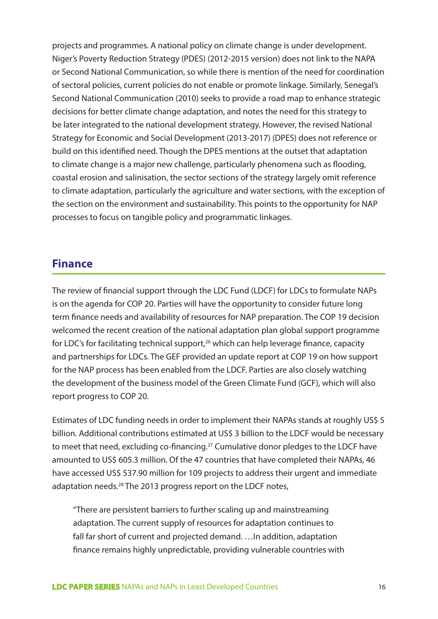projects and programmes. A national policy on climate change is under development. Niger's Poverty Reduction Strategy (PDES) (2012-2015 version) does not link to the NAPA or Second National Communication, so while there is mention of the need for coordination of sectoral policies, current policies do not enable or promote linkage. Similarly, Senegal's Second National Communication (2010) seeks to provide a road map to enhance strategic decisions for better climate change adaptation, and notes the need for this strategy to be later integrated to the national development strategy. However, the revised National Strategy for Economic and Social Development (2013-2017) (DPES) does not reference or build on this identified need. Though the DPES mentions at the outset that adaptation to climate change is a major new challenge, particularly phenomena such as flooding, coastal erosion and salinisation, the sector sections of the strategy largely omit reference to climate adaptation, particularly the agriculture and water sections, with the exception of the section on the environment and sustainability. This points to the opportunity for NAP processes to focus on tangible policy and programmatic linkages.

# **Finance**

The review of financial support through the LDC Fund (LDCF) for LDCs to formulate NAPs is on the agenda for COP 20. Parties will have the opportunity to consider future long term finance needs and availability of resources for NAP preparation. The COP 19 decision welcomed the recent creation of the national adaptation plan global support programme for LDC's for facilitating technical support,<sup>26</sup> which can help leverage finance, capacity and partnerships for LDCs. The GEF provided an update report at COP 19 on how support for the NAP process has been enabled from the LDCF. Parties are also closely watching the development of the business model of the Green Climate Fund (GCF), which will also report progress to COP 20.

Estimates of LDC funding needs in order to implement their NAPAs stands at roughly US\$ 5 billion. Additional contributions estimated at US\$ 3 billion to the LDCF would be necessary to meet that need, excluding co-financing.27 Cumulative donor pledges to the LDCF have amounted to US\$ 605.3 million. Of the 47 countries that have completed their NAPAs, 46 have accessed US\$ 537.90 million for 109 projects to address their urgent and immediate adaptation needs.<sup>28</sup> The 2013 progress report on the LDCF notes,

"There are persistent barriers to further scaling up and mainstreaming adaptation. The current supply of resources for adaptation continues to fall far short of current and projected demand. …In addition, adaptation finance remains highly unpredictable, providing vulnerable countries with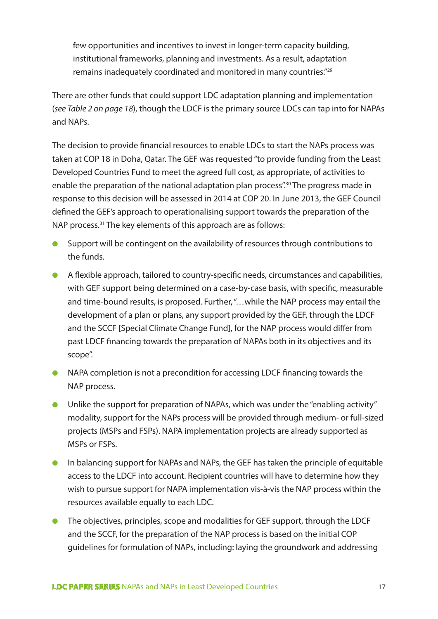few opportunities and incentives to invest in longer-term capacity building, institutional frameworks, planning and investments. As a result, adaptation remains inadequately coordinated and monitored in many countries."29

There are other funds that could support LDC adaptation planning and implementation (*see Table 2 on page 18*), though the LDCF is the primary source LDCs can tap into for NAPAs and NAPs.

The decision to provide financial resources to enable LDCs to start the NAPs process was taken at COP 18 in Doha, Qatar. The GEF was requested "to provide funding from the Least Developed Countries Fund to meet the agreed full cost, as appropriate, of activities to enable the preparation of the national adaptation plan process".<sup>30</sup> The progress made in response to this decision will be assessed in 2014 at COP 20. In June 2013, the GEF Council defined the GEF's approach to operationalising support towards the preparation of the NAP process.<sup>31</sup> The key elements of this approach are as follows:

- Support will be contingent on the availability of resources through contributions to the funds.
- A flexible approach, tailored to country-specific needs, circumstances and capabilities, with GEF support being determined on a case-by-case basis, with specific, measurable and time-bound results, is proposed. Further, "…while the NAP process may entail the development of a plan or plans, any support provided by the GEF, through the LDCF and the SCCF [Special Climate Change Fund], for the NAP process would differ from past LDCF financing towards the preparation of NAPAs both in its objectives and its scope".
- NAPA completion is not a precondition for accessing LDCF financing towards the NAP process.
- Unlike the support for preparation of NAPAs, which was under the "enabling activity" modality, support for the NAPs process will be provided through medium- or full-sized projects (MSPs and FSPs). NAPA implementation projects are already supported as MSPs or FSPs.
- In balancing support for NAPAs and NAPs, the GEF has taken the principle of equitable access to the LDCF into account. Recipient countries will have to determine how they wish to pursue support for NAPA implementation vis-à-vis the NAP process within the resources available equally to each LDC.
- The objectives, principles, scope and modalities for GEF support, through the LDCF and the SCCF, for the preparation of the NAP process is based on the initial COP guidelines for formulation of NAPs, including: laying the groundwork and addressing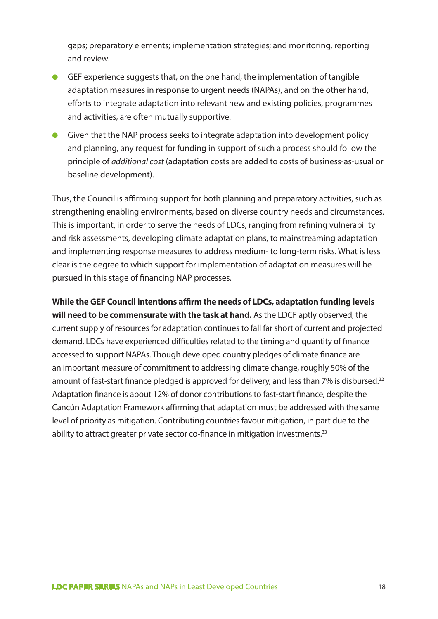gaps; preparatory elements; implementation strategies; and monitoring, reporting and review.

- GEF experience suggests that, on the one hand, the implementation of tangible adaptation measures in response to urgent needs (NAPAs), and on the other hand, efforts to integrate adaptation into relevant new and existing policies, programmes and activities, are often mutually supportive.
- Given that the NAP process seeks to integrate adaptation into development policy and planning, any request for funding in support of such a process should follow the principle of *additional cost* (adaptation costs are added to costs of business-as-usual or baseline development).

Thus, the Council is affirming support for both planning and preparatory activities, such as strengthening enabling environments, based on diverse country needs and circumstances. This is important, in order to serve the needs of LDCs, ranging from refining vulnerability and risk assessments, developing climate adaptation plans, to mainstreaming adaptation and implementing response measures to address medium- to long-term risks. What is less clear is the degree to which support for implementation of adaptation measures will be pursued in this stage of financing NAP processes.

**While the GEF Council intentions affirm the needs of LDCs, adaptation funding levels will need to be commensurate with the task at hand.** As the LDCF aptly observed, the current supply of resources for adaptation continues to fall far short of current and projected demand. LDCs have experienced difficulties related to the timing and quantity of finance accessed to support NAPAs. Though developed country pledges of climate finance are an important measure of commitment to addressing climate change, roughly 50% of the amount of fast-start finance pledged is approved for delivery, and less than 7% is disbursed.<sup>32</sup> Adaptation finance is about 12% of donor contributions to fast-start finance, despite the Cancún Adaptation Framework affirming that adaptation must be addressed with the same level of priority as mitigation. Contributing countries favour mitigation, in part due to the ability to attract greater private sector co-finance in mitigation investments.<sup>33</sup>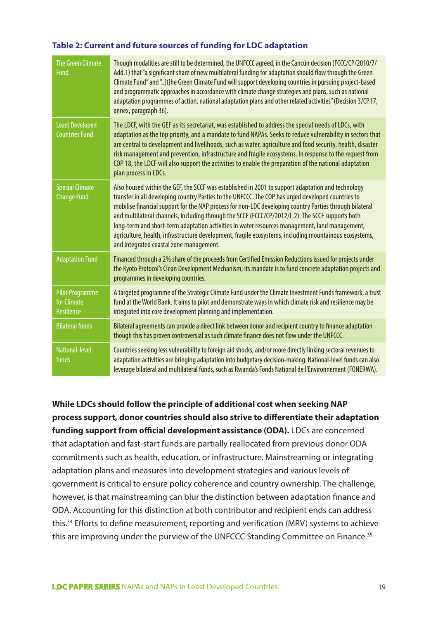## **Table 2: Current and future sources of funding for LDC adaptation**

| <b>The Green Climate</b><br><b>Fund</b>                    | Though modalities are still to be determined, the UNFCCC agreed, in the Cancún decision (FCCC/CP/2010/7/<br>Add.1) that "a significant share of new multilateral funding for adaptation should flow through the Green<br>Climate Fund" and "[t]he Green Climate Fund will support developing countries in pursuing project-based<br>and programmatic approaches in accordance with climate change strategies and plans, such as national<br>adaptation programmes of action, national adaptation plans and other related activities" (Decision 3/CP.17,<br>annex, paragraph 36).                                                                                              |
|------------------------------------------------------------|-------------------------------------------------------------------------------------------------------------------------------------------------------------------------------------------------------------------------------------------------------------------------------------------------------------------------------------------------------------------------------------------------------------------------------------------------------------------------------------------------------------------------------------------------------------------------------------------------------------------------------------------------------------------------------|
| <b>Least Developed</b><br><b>Countries Fund</b>            | The LDCF, with the GEF as its secretariat, was established to address the special needs of LDCs, with<br>adaptation as the top priority, and a mandate to fund NAPAs. Seeks to reduce vulnerability in sectors that<br>are central to development and livelihoods, such as water, agriculture and food security, health, disaster<br>risk management and prevention, infrastructure and fragile ecosystems. In response to the request from<br>COP 18, the LDCF will also support the activities to enable the preparation of the national adaptation<br>plan process in LDCs.                                                                                                |
| <b>Special Climate</b><br><b>Change Fund</b>               | Also housed within the GEF, the SCCF was established in 2001 to support adaptation and technology<br>transfer in all developing country Parties to the UNFCCC. The COP has urged developed countries to<br>mobilise financial support for the NAP process for non-LDC developing country Parties through bilateral<br>and multilateral channels, including through the SCCF (FCCC/CP/2012/L.2). The SCCF supports both<br>long-term and short-term adaptation activities in water resources management, land management,<br>agriculture, health, infrastructure development, fragile ecosystems, including mountainous ecosystems,<br>and integrated coastal zone management. |
| <b>Adaptation Fund</b>                                     | Financed through a 2% share of the proceeds from Certified Emission Reductions issued for projects under<br>the Kyoto Protocol's Clean Development Mechanism; its mandate is to fund concrete adaptation projects and<br>programmes in developing countries.                                                                                                                                                                                                                                                                                                                                                                                                                  |
| <b>Pilot Programme</b><br>for Climate<br><b>Resilience</b> | A targeted programme of the Strategic Climate Fund under the Climate Investment Funds framework, a trust<br>fund at the World Bank. It aims to pilot and demonstrate ways in which climate risk and resilience may be<br>integrated into core development planning and implementation.                                                                                                                                                                                                                                                                                                                                                                                        |
| <b>Bilateral funds</b>                                     | Bilateral agreements can provide a direct link between donor and recipient country to finance adaptation<br>though this has proven controversial as such climate finance does not flow under the UNFCCC.                                                                                                                                                                                                                                                                                                                                                                                                                                                                      |
| National-level<br>funds                                    | Countries seeking less vulnerability to foreign aid shocks, and/or more directly linking sectoral revenues to<br>adaptation activities are bringing adaptation into budgetary decision-making. National-level funds can also<br>leverage bilateral and multilateral funds, such as Rwanda's Fonds National de l'Environnement (FONERWA).                                                                                                                                                                                                                                                                                                                                      |

**While LDCs should follow the principle of additional cost when seeking NAP process support, donor countries should also strive to differentiate their adaptation funding support from official development assistance (ODA).** LDCs are concerned that adaptation and fast-start funds are partially reallocated from previous donor ODA commitments such as health, education, or infrastructure. Mainstreaming or integrating adaptation plans and measures into development strategies and various levels of government is critical to ensure policy coherence and country ownership. The challenge, however, is that mainstreaming can blur the distinction between adaptation finance and ODA. Accounting for this distinction at both contributor and recipient ends can address this.34 Efforts to define measurement, reporting and verification (MRV) systems to achieve this are improving under the purview of the UNFCCC Standing Committee on Finance.<sup>35</sup>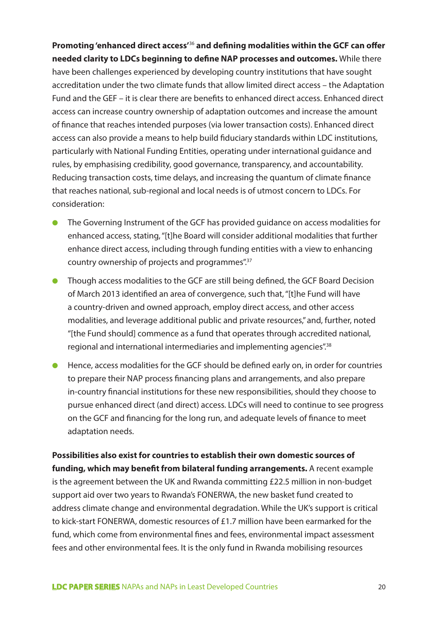**Promoting 'enhanced direct access'**36 **and defining modalities within the GCF can offer needed clarity to LDCs beginning to define NAP processes and outcomes.** While there have been challenges experienced by developing country institutions that have sought accreditation under the two climate funds that allow limited direct access – the Adaptation Fund and the GEF – it is clear there are benefits to enhanced direct access. Enhanced direct access can increase country ownership of adaptation outcomes and increase the amount of finance that reaches intended purposes (via lower transaction costs). Enhanced direct access can also provide a means to help build fiduciary standards within LDC institutions, particularly with National Funding Entities, operating under international guidance and rules, by emphasising credibility, good governance, transparency, and accountability. Reducing transaction costs, time delays, and increasing the quantum of climate finance that reaches national, sub-regional and local needs is of utmost concern to LDCs. For consideration:

- The Governing Instrument of the GCF has provided quidance on access modalities for enhanced access, stating, "[t]he Board will consider additional modalities that further enhance direct access, including through funding entities with a view to enhancing country ownership of projects and programmes".37
- Though access modalities to the GCF are still being defined, the GCF Board Decision of March 2013 identified an area of convergence, such that, "[t]he Fund will have a country-driven and owned approach, employ direct access, and other access modalities, and leverage additional public and private resources," and, further, noted "[the Fund should] commence as a fund that operates through accredited national, regional and international intermediaries and implementing agencies".38
- Hence, access modalities for the GCF should be defined early on, in order for countries to prepare their NAP process financing plans and arrangements, and also prepare in-country financial institutions for these new responsibilities, should they choose to pursue enhanced direct (and direct) access. LDCs will need to continue to see progress on the GCF and financing for the long run, and adequate levels of finance to meet adaptation needs.

**Possibilities also exist for countries to establish their own domestic sources of funding, which may benefit from bilateral funding arrangements.** A recent example is the agreement between the UK and Rwanda committing £22.5 million in non-budget support aid over two years to Rwanda's FONERWA, the new basket fund created to address climate change and environmental degradation. While the UK's support is critical to kick-start FONERWA, domestic resources of £1.7 million have been earmarked for the fund, which come from environmental fines and fees, environmental impact assessment fees and other environmental fees. It is the only fund in Rwanda mobilising resources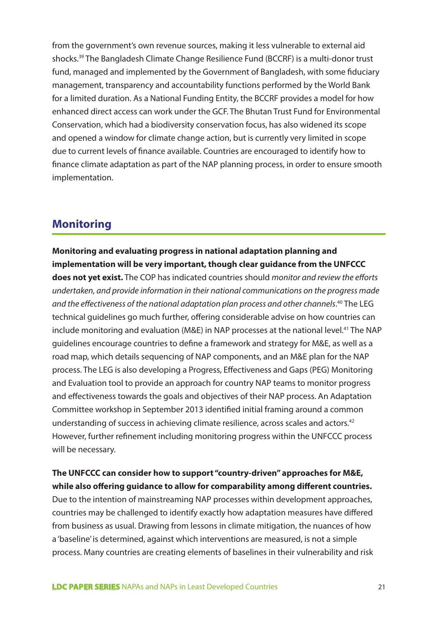from the government's own revenue sources, making it less vulnerable to external aid shocks.39 The Bangladesh Climate Change Resilience Fund (BCCRF) is a multi-donor trust fund, managed and implemented by the Government of Bangladesh, with some fiduciary management, transparency and accountability functions performed by the World Bank for a limited duration. As a National Funding Entity, the BCCRF provides a model for how enhanced direct access can work under the GCF. The Bhutan Trust Fund for Environmental Conservation, which had a biodiversity conservation focus, has also widened its scope and opened a window for climate change action, but is currently very limited in scope due to current levels of finance available. Countries are encouraged to identify how to finance climate adaptation as part of the NAP planning process, in order to ensure smooth implementation.

# **Monitoring**

## **Monitoring and evaluating progress in national adaptation planning and implementation will be very important, though clear guidance from the UNFCCC**

**does not yet exist.** The COP has indicated countries should *monitor and review the efforts undertaken, and provide information in their national communications on the progress made*  and the effectiveness of the national adaptation plan process and other channels.<sup>40</sup> The LEG technical guidelines go much further, offering considerable advise on how countries can include monitoring and evaluation (M&E) in NAP processes at the national level.<sup>41</sup> The NAP guidelines encourage countries to define a framework and strategy for M&E, as well as a road map, which details sequencing of NAP components, and an M&E plan for the NAP process. The LEG is also developing a Progress, Effectiveness and Gaps (PEG) Monitoring and Evaluation tool to provide an approach for country NAP teams to monitor progress and effectiveness towards the goals and objectives of their NAP process. An Adaptation Committee workshop in September 2013 identified initial framing around a common understanding of success in achieving climate resilience, across scales and actors.<sup>42</sup> However, further refinement including monitoring progress within the UNFCCC process will be necessary.

## **The UNFCCC can consider how to support "country-driven" approaches for M&E, while also offering guidance to allow for comparability among different countries.**

Due to the intention of mainstreaming NAP processes within development approaches, countries may be challenged to identify exactly how adaptation measures have differed from business as usual. Drawing from lessons in climate mitigation, the nuances of how a 'baseline' is determined, against which interventions are measured, is not a simple process. Many countries are creating elements of baselines in their vulnerability and risk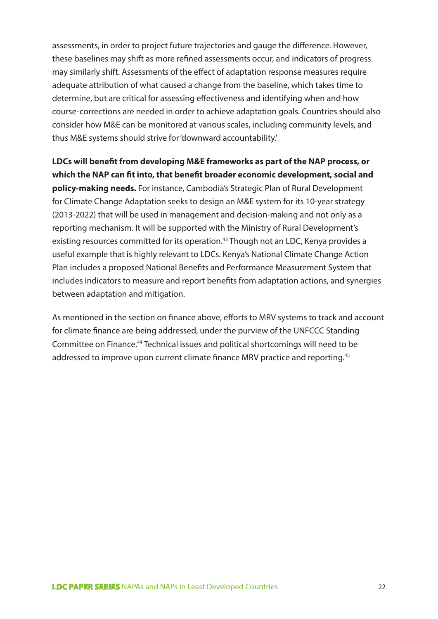assessments, in order to project future trajectories and gauge the difference. However, these baselines may shift as more refined assessments occur, and indicators of progress may similarly shift. Assessments of the effect of adaptation response measures require adequate attribution of what caused a change from the baseline, which takes time to determine, but are critical for assessing effectiveness and identifying when and how course-corrections are needed in order to achieve adaptation goals. Countries should also consider how M&E can be monitored at various scales, including community levels, and thus M&E systems should strive for 'downward accountability.'

**LDCs will benefit from developing M&E frameworks as part of the NAP process, or which the NAP can fit into, that benefit broader economic development, social and policy-making needs.** For instance, Cambodia's Strategic Plan of Rural Development for Climate Change Adaptation seeks to design an M&E system for its 10-year strategy (2013-2022) that will be used in management and decision-making and not only as a reporting mechanism. It will be supported with the Ministry of Rural Development's existing resources committed for its operation.<sup>43</sup> Though not an LDC, Kenya provides a useful example that is highly relevant to LDCs. Kenya's National Climate Change Action Plan includes a proposed National Benefits and Performance Measurement System that includes indicators to measure and report benefits from adaptation actions, and synergies between adaptation and mitigation.

As mentioned in the section on finance above, efforts to MRV systems to track and account for climate finance are being addressed, under the purview of the UNFCCC Standing Committee on Finance.44 Technical issues and political shortcomings will need to be addressed to improve upon current climate finance MRV practice and reporting.<sup>45</sup>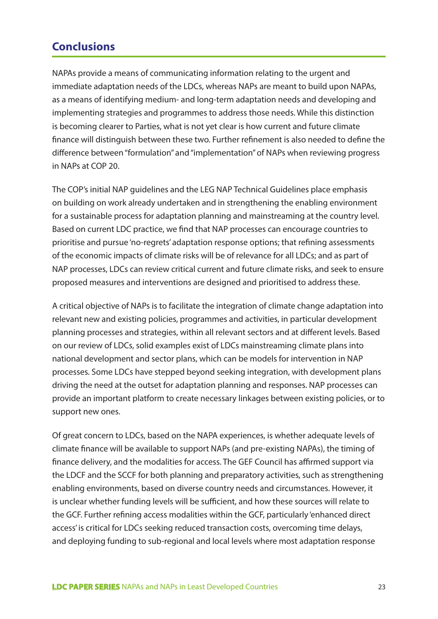# **Conclusions**

NAPAs provide a means of communicating information relating to the urgent and immediate adaptation needs of the LDCs, whereas NAPs are meant to build upon NAPAs, as a means of identifying medium- and long-term adaptation needs and developing and implementing strategies and programmes to address those needs. While this distinction is becoming clearer to Parties, what is not yet clear is how current and future climate finance will distinguish between these two. Further refinement is also needed to define the difference between "formulation" and "implementation" of NAPs when reviewing progress in NAPs at COP 20.

The COP's initial NAP guidelines and the LEG NAP Technical Guidelines place emphasis on building on work already undertaken and in strengthening the enabling environment for a sustainable process for adaptation planning and mainstreaming at the country level. Based on current LDC practice, we find that NAP processes can encourage countries to prioritise and pursue 'no-regrets' adaptation response options; that refining assessments of the economic impacts of climate risks will be of relevance for all LDCs; and as part of NAP processes, LDCs can review critical current and future climate risks, and seek to ensure proposed measures and interventions are designed and prioritised to address these.

A critical objective of NAPs is to facilitate the integration of climate change adaptation into relevant new and existing policies, programmes and activities, in particular development planning processes and strategies, within all relevant sectors and at different levels. Based on our review of LDCs, solid examples exist of LDCs mainstreaming climate plans into national development and sector plans, which can be models for intervention in NAP processes. Some LDCs have stepped beyond seeking integration, with development plans driving the need at the outset for adaptation planning and responses. NAP processes can provide an important platform to create necessary linkages between existing policies, or to support new ones.

Of great concern to LDCs, based on the NAPA experiences, is whether adequate levels of climate finance will be available to support NAPs (and pre-existing NAPAs), the timing of finance delivery, and the modalities for access. The GEF Council has affirmed support via the LDCF and the SCCF for both planning and preparatory activities, such as strengthening enabling environments, based on diverse country needs and circumstances. However, it is unclear whether funding levels will be sufficient, and how these sources will relate to the GCF. Further refining access modalities within the GCF, particularly 'enhanced direct access' is critical for LDCs seeking reduced transaction costs, overcoming time delays, and deploying funding to sub-regional and local levels where most adaptation response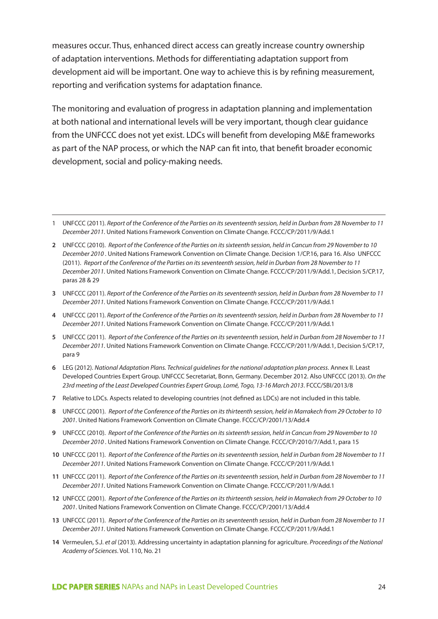measures occur. Thus, enhanced direct access can greatly increase country ownership of adaptation interventions. Methods for differentiating adaptation support from development aid will be important. One way to achieve this is by refining measurement, reporting and verification systems for adaptation finance.

The monitoring and evaluation of progress in adaptation planning and implementation at both national and international levels will be very important, though clear guidance from the UNFCCC does not yet exist. LDCs will benefit from developing M&E frameworks as part of the NAP process, or which the NAP can fit into, that benefit broader economic development, social and policy-making needs.

- **3** UNFCCC (2011). *Report of the Conference of the Parties on its seventeenth session, held in Durban from 28 November to 11 December 2011*. United Nations Framework Convention on Climate Change. FCCC/CP/2011/9/Add.1
- **4** UNFCCC (2011). *Report of the Conference of the Parties on its seventeenth session, held in Durban from 28 November to 11 December 2011*. United Nations Framework Convention on Climate Change. FCCC/CP/2011/9/Add.1
- **5** UNFCCC (2011). *Report of the Conference of the Parties on its seventeenth session, held in Durban from 28 November to 11 December 2011*. United Nations Framework Convention on Climate Change. FCCC/CP/2011/9/Add.1, Decision 5/CP.17, para 9
- **6** LEG (2012). *National Adaptation Plans. Technical guidelines for the national adaptation plan process*. Annex II. Least Developed Countries Expert Group. UNFCCC Secretariat, Bonn, Germany. December 2012. Also UNFCCC (2013). *On the 23rd meeting of the Least Developed Countries Expert Group, Lomé, Togo, 13-16 March 2013*. FCCC/SBI/2013/8
- **7** Relative to LDCs. Aspects related to developing countries (not defined as LDCs) are not included in this table.
- **8** UNFCCC (2001). *Report of the Conference of the Parties on its thirteenth session, held in Marrakech from 29 October to 10 2001*. United Nations Framework Convention on Climate Change. FCCC/CP/2001/13/Add.4
- **9** UNFCCC (2010). *Report of the Conference of the Parties on its sixteenth session, held in Cancun from 29 November to 10 December 2010* . United Nations Framework Convention on Climate Change. FCCC/CP/2010/7/Add.1, para 15
- **10** UNFCCC (2011). *Report of the Conference of the Parties on its seventeenth session, held in Durban from 28 November to 11 December 2011*. United Nations Framework Convention on Climate Change. FCCC/CP/2011/9/Add.1
- **11** UNFCCC (2011). *Report of the Conference of the Parties on its seventeenth session, held in Durban from 28 November to 11 December 2011*. United Nations Framework Convention on Climate Change. FCCC/CP/2011/9/Add.1
- **12** UNFCCC (2001). *Report of the Conference of the Parties on its thirteenth session, held in Marrakech from 29 October to 10 2001*. United Nations Framework Convention on Climate Change. FCCC/CP/2001/13/Add.4
- **13** UNFCCC (2011). *Report of the Conference of the Parties on its seventeenth session, held in Durban from 28 November to 11 December 2011*. United Nations Framework Convention on Climate Change. FCCC/CP/2011/9/Add.1
- **14** Vermeulen, S.J. *et al* (2013). Addressing uncertainty in adaptation planning for agriculture. *Proceedings of the National Academy of Sciences*. Vol. 110, No. 21

<sup>1</sup> UNFCCC (2011). *Report of the Conference of the Parties on its seventeenth session, held in Durban from 28 November to 11 December 2011*. United Nations Framework Convention on Climate Change. FCCC/CP/2011/9/Add.1

**<sup>2</sup>** UNFCCC (2010). *Report of the Conference of the Parties on its sixteenth session, held in Cancun from 29 November to 10 December 2010* . United Nations Framework Convention on Climate Change. Decision 1/CP.16, para 16. Also UNFCCC (2011). *Report of the Conference of the Parties on its seventeenth session, held in Durban from 28 November to 11 December 2011*. United Nations Framework Convention on Climate Change. FCCC/CP/2011/9/Add.1, Decision 5/CP.17, paras 28 & 29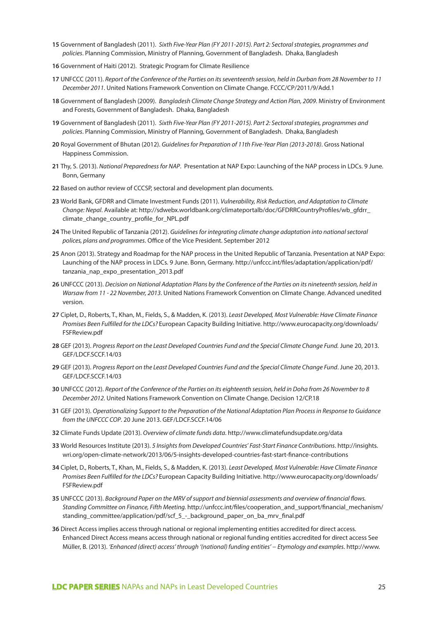- **15** Government of Bangladesh (2011). *Sixth Five-Year Plan (FY 2011-2015). Part 2: Sectoral strategies, programmes and policies*. Planning Commission, Ministry of Planning, Government of Bangladesh. Dhaka, Bangladesh
- **16** Government of Haiti (2012). Strategic Program for Climate Resilience
- **17** UNFCCC (2011). *Report of the Conference of the Parties on its seventeenth session, held in Durban from 28 November to 11 December 2011*. United Nations Framework Convention on Climate Change. FCCC/CP/2011/9/Add.1
- **18** Government of Bangladesh (2009). *Bangladesh Climate Change Strategy and Action Plan, 2009*. Ministry of Environment and Forests, Government of Bangladesh. Dhaka, Bangladesh
- **19** Government of Bangladesh (2011). *Sixth Five-Year Plan (FY 2011-2015). Part 2: Sectoral strategies, programmes and policies*. Planning Commission, Ministry of Planning, Government of Bangladesh. Dhaka, Bangladesh
- **20** Royal Government of Bhutan (2012). *Guidelines for Preparation of 11th Five-Year Plan (2013-2018)*. Gross National Happiness Commission.
- **21** Thy, S. (2013). *National Preparedness for NAP*. Presentation at NAP Expo: Launching of the NAP process in LDCs. 9 June. Bonn, Germany
- **22** Based on author review of CCCSP, sectoral and development plan documents.
- **23** World Bank, GFDRR and Climate Investment Funds (2011). *Vulnerability, Risk Reduction, and Adaptation to Climate Change: Nepal*. Available at: http://sdwebx.worldbank.org/climateportalb/doc/GFDRRCountryProfiles/wb\_gfdrr\_ climate\_change\_country\_profile\_for\_NPL.pdf
- **24** The United Republic of Tanzania (2012). *Guidelines for integrating climate change adaptation into national sectoral polices, plans and programmes*. Office of the Vice President. September 2012
- **25** Anon (2013). Strategy and Roadmap for the NAP process in the United Republic of Tanzania. Presentation at NAP Expo: Launching of the NAP process in LDCs. 9 June. Bonn, Germany. http://unfccc.int/files/adaptation/application/pdf/ tanzania\_nap\_expo\_presentation\_2013.pdf
- **26** UNFCCC (2013). *Decision on National Adaptation Plans by the Conference of the Parties on its nineteenth session, held in Warsaw from 11 - 22 November, 2013*. United Nations Framework Convention on Climate Change. Advanced unedited version.
- **27** Ciplet, D., Roberts, T., Khan, M., Fields, S., & Madden, K. (2013). *Least Developed, Most Vulnerable: Have Climate Finance Promises Been Fulfilled for the LDCs?* European Capacity Building Initiative. http://www.eurocapacity.org/downloads/ FSFReview.pdf
- **28** GEF (2013). *Progress Report on the Least Developed Countries Fund and the Special Climate Change Fund.* June 20, 2013. GEF/LDCF.SCCF.14/03
- **29** GEF (2013). *Progress Report on the Least Developed Countries Fund and the Special Climate Change Fund*. June 20, 2013. GEF/LDCF.SCCF.14/03
- **30** UNFCCC (2012). *Report of the Conference of the Parties on its eighteenth session, held in Doha from 26 November to 8 December 2012*. United Nations Framework Convention on Climate Change. Decision 12/CP.18
- **31** GEF (2013). *Operationalizing Support to the Preparation of the National Adaptation Plan Process in Response to Guidance from the UNFCCC COP*. 20 June 2013. GEF/LDCF.SCCF.14/06
- **32** Climate Funds Update (2013). *Overview of climate funds data*. http://www.climatefundsupdate.org/data
- **33** World Resources Institute (2013). *5 Insights from Developed Countries' Fast-Start Finance Contributions*. http://insights. wri.org/open-climate-network/2013/06/5-insights-developed-countries-fast-start-finance-contributions
- **34** Ciplet, D., Roberts, T., Khan, M., Fields, S., & Madden, K. (2013). *Least Developed, Most Vulnerable: Have Climate Finance Promises Been Fulfilled for the LDCs?* European Capacity Building Initiative. http://www.eurocapacity.org/downloads/ FSFReview.pdf
- **35** UNFCCC (2013). *Background Paper on the MRV of support and biennial assessments and overview of financial flows. Standing Committee on Finance, Fifth Meeting.* http://unfccc.int/files/cooperation\_and\_support/financial\_mechanism/ standing\_committee/application/pdf/scf\_5\_-\_background\_paper\_on\_ba\_mrv\_final.pdf
- **36** Direct Access implies access through national or regional implementing entities accredited for direct access. Enhanced Direct Access means access through national or regional funding entities accredited for direct access See Müller, B. (2013). *'Enhanced (direct) access' through '(national) funding entities' − Etymology and examples*. http://www.